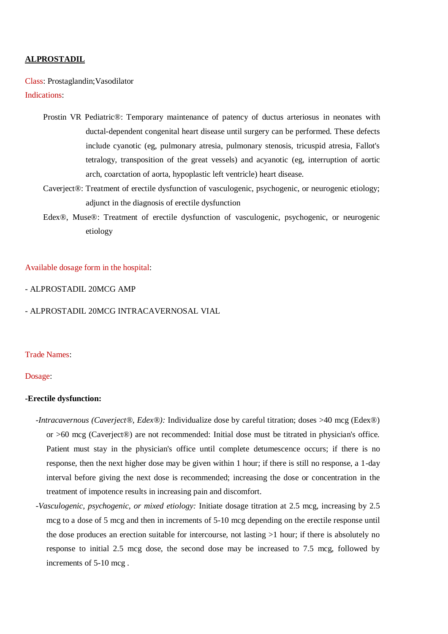#### **ALPROSTADIL**

Class: Prostaglandin;Vasodilator Indications:

- Prostin VR Pediatric®: Temporary maintenance of patency of ductus arteriosus in neonates with ductal-dependent congenital heart disease until surgery can be performed. These defects include cyanotic (eg, pulmonary atresia, pulmonary stenosis, tricuspid atresia, Fallot's tetralogy, transposition of the great vessels) and acyanotic (eg, interruption of aortic arch, coarctation of aorta, hypoplastic left ventricle) heart disease.
- Caverject®: Treatment of erectile dysfunction of vasculogenic, psychogenic, or neurogenic etiology; adjunct in the diagnosis of erectile dysfunction
- Edex®, Muse®: Treatment of erectile dysfunction of vasculogenic, psychogenic, or neurogenic etiology

# Available dosage form in the hospital:

- ALPROSTADIL 20MCG AMP

- ALPROSTADIL 20MCG INTRACAVERNOSAL VIAL

#### Trade Names:

## Dosage:

#### **-Erectile dysfunction:**

- *-Intracavernous (Caverject®, Edex®):* Individualize dose by careful titration; doses >40 mcg (Edex®) or >60 mcg (Caverject®) are not recommended: Initial dose must be titrated in physician's office. Patient must stay in the physician's office until complete detumescence occurs; if there is no response, then the next higher dose may be given within 1 hour; if there is still no response, a 1-day interval before giving the next dose is recommended; increasing the dose or concentration in the treatment of impotence results in increasing pain and discomfort.
- -*Vasculogenic, psychogenic, or mixed etiology:* Initiate dosage titration at 2.5 mcg, increasing by 2.5 mcg to a dose of 5 mcg and then in increments of 5-10 mcg depending on the erectile response until the dose produces an erection suitable for intercourse, not lasting >1 hour; if there is absolutely no response to initial 2.5 mcg dose, the second dose may be increased to 7.5 mcg, followed by increments of 5-10 mcg .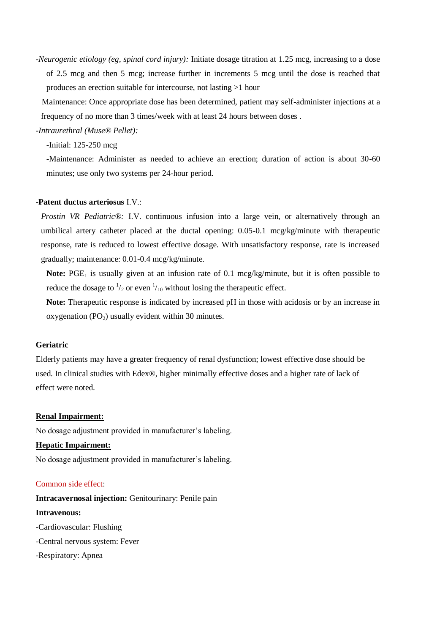-*Neurogenic etiology (eg, spinal cord injury):* Initiate dosage titration at 1.25 mcg, increasing to a dose of 2.5 mcg and then 5 mcg; increase further in increments 5 mcg until the dose is reached that produces an erection suitable for intercourse, not lasting >1 hour

 Maintenance: Once appropriate dose has been determined, patient may self-administer injections at a frequency of no more than 3 times/week with at least 24 hours between doses .

*-Intraurethral (Muse® Pellet):*

-Initial: 125-250 mcg

-Maintenance: Administer as needed to achieve an erection; duration of action is about 30-60 minutes; use only two systems per 24-hour period.

# **-Patent ductus arteriosus** I.V.:

*Prostin VR Pediatric®:* I.V. continuous infusion into a large vein, or alternatively through an umbilical artery catheter placed at the ductal opening: 0.05-0.1 mcg/kg/minute with therapeutic response, rate is reduced to lowest effective dosage. With unsatisfactory response, rate is increased gradually; maintenance: 0.01-0.4 mcg/kg/minute.

**Note:** PGE<sub>1</sub> is usually given at an infusion rate of 0.1 mcg/kg/minute, but it is often possible to reduce the dosage to  $\frac{1}{2}$  or even  $\frac{1}{10}$  without losing the therapeutic effect.

**Note:** Therapeutic response is indicated by increased pH in those with acidosis or by an increase in oxygenation  $(PO<sub>2</sub>)$  usually evident within 30 minutes.

# **Geriatric**

Elderly patients may have a greater frequency of renal dysfunction; lowest effective dose should be used. In clinical studies with Edex®, higher minimally effective doses and a higher rate of lack of effect were noted.

# **Renal Impairment:**

No dosage adjustment provided in manufacturer's labeling.

# **Hepatic Impairment:**

No dosage adjustment provided in manufacturer's labeling.

# Common side effect:

**Intracavernosal injection:** Genitourinary: Penile pain **Intravenous:** -Cardiovascular: Flushing

- -Central nervous system: Fever
- -Respiratory: Apnea